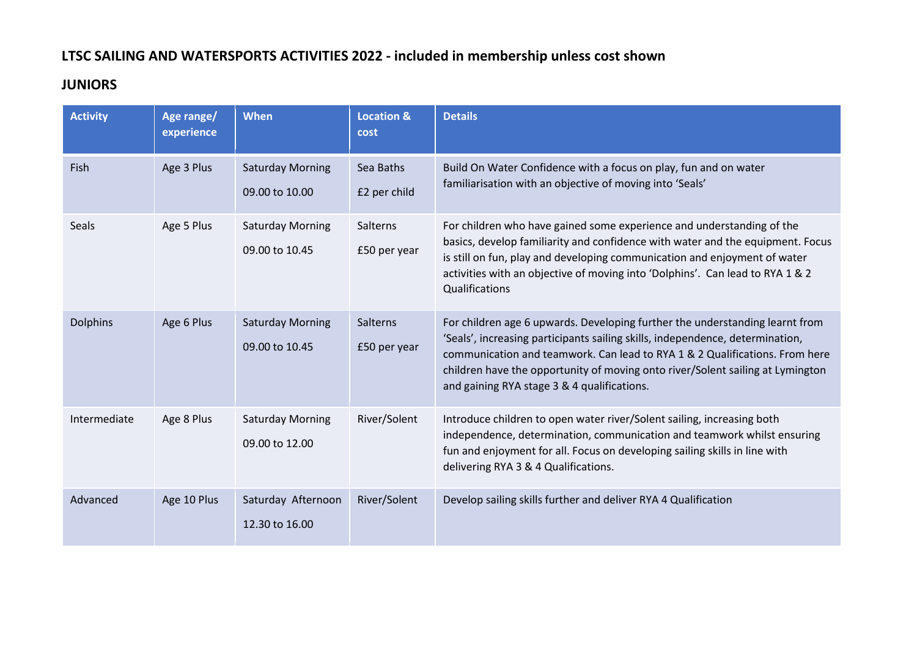## **LTSC SAILING AND WATERSPORTS ACTIVITIES 2022 - included in membership unless cost shown**

#### **JUNIORS**

| <b>Activity</b> | Age range/<br>experience | <b>When</b>                               | <b>Location &amp;</b><br>cost | <b>Details</b>                                                                                                                                                                                                                                                                                                                                                                |
|-----------------|--------------------------|-------------------------------------------|-------------------------------|-------------------------------------------------------------------------------------------------------------------------------------------------------------------------------------------------------------------------------------------------------------------------------------------------------------------------------------------------------------------------------|
| Fish            | Age 3 Plus               | <b>Saturday Morning</b><br>09.00 to 10.00 | Sea Baths<br>£2 per child     | Build On Water Confidence with a focus on play, fun and on water<br>familiarisation with an objective of moving into 'Seals'                                                                                                                                                                                                                                                  |
| Seals           | Age 5 Plus               | <b>Saturday Morning</b><br>09.00 to 10.45 | Salterns<br>£50 per year      | For children who have gained some experience and understanding of the<br>basics, develop familiarity and confidence with water and the equipment. Focus<br>is still on fun, play and developing communication and enjoyment of water<br>activities with an objective of moving into 'Dolphins'. Can lead to RYA 1 & 2<br>Qualifications                                       |
| <b>Dolphins</b> | Age 6 Plus               | <b>Saturday Morning</b><br>09.00 to 10.45 | Salterns<br>£50 per year      | For children age 6 upwards. Developing further the understanding learnt from<br>'Seals', increasing participants sailing skills, independence, determination,<br>communication and teamwork. Can lead to RYA 1 & 2 Qualifications. From here<br>children have the opportunity of moving onto river/Solent sailing at Lymington<br>and gaining RYA stage 3 & 4 qualifications. |
| Intermediate    | Age 8 Plus               | <b>Saturday Morning</b><br>09.00 to 12.00 | River/Solent                  | Introduce children to open water river/Solent sailing, increasing both<br>independence, determination, communication and teamwork whilst ensuring<br>fun and enjoyment for all. Focus on developing sailing skills in line with<br>delivering RYA 3 & 4 Qualifications.                                                                                                       |
| Advanced        | Age 10 Plus              | Saturday Afternoon<br>12.30 to 16.00      | River/Solent                  | Develop sailing skills further and deliver RYA 4 Qualification                                                                                                                                                                                                                                                                                                                |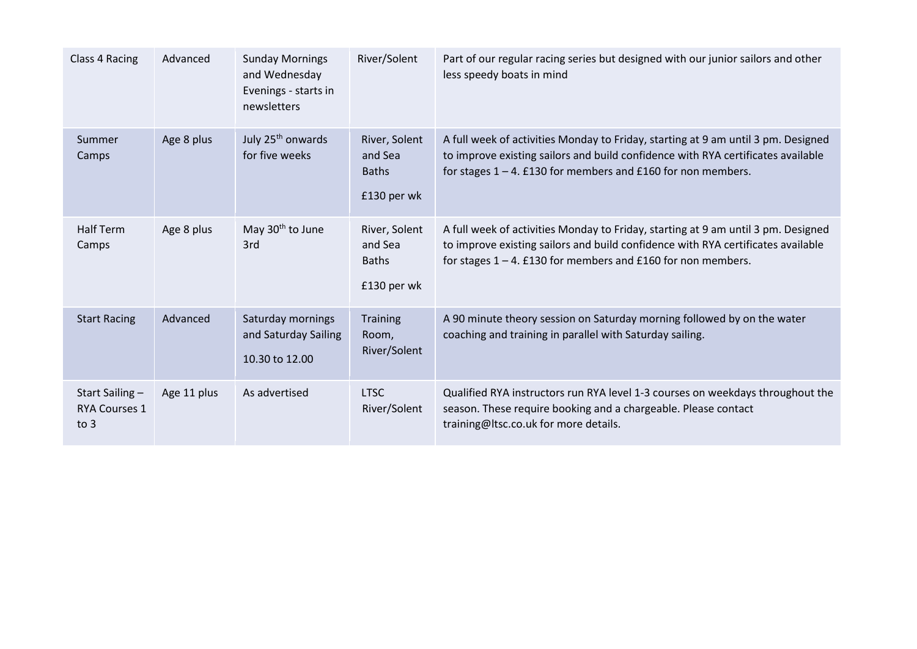| Class 4 Racing                                 | Advanced    | <b>Sunday Mornings</b><br>and Wednesday<br>Evenings - starts in<br>newsletters | River/Solent                                            | Part of our regular racing series but designed with our junior sailors and other<br>less speedy boats in mind                                                                                                                            |
|------------------------------------------------|-------------|--------------------------------------------------------------------------------|---------------------------------------------------------|------------------------------------------------------------------------------------------------------------------------------------------------------------------------------------------------------------------------------------------|
| Summer<br>Camps                                | Age 8 plus  | July 25 <sup>th</sup> onwards<br>for five weeks                                | River, Solent<br>and Sea<br><b>Baths</b><br>£130 per wk | A full week of activities Monday to Friday, starting at 9 am until 3 pm. Designed<br>to improve existing sailors and build confidence with RYA certificates available<br>for stages $1 - 4$ . £130 for members and £160 for non members. |
| <b>Half Term</b><br>Camps                      | Age 8 plus  | May 30 <sup>th</sup> to June<br>3rd                                            | River, Solent<br>and Sea<br><b>Baths</b><br>£130 per wk | A full week of activities Monday to Friday, starting at 9 am until 3 pm. Designed<br>to improve existing sailors and build confidence with RYA certificates available<br>for stages $1 - 4$ . £130 for members and £160 for non members. |
| <b>Start Racing</b>                            | Advanced    | Saturday mornings<br>and Saturday Sailing<br>10.30 to 12.00                    | <b>Training</b><br>Room,<br>River/Solent                | A 90 minute theory session on Saturday morning followed by on the water<br>coaching and training in parallel with Saturday sailing.                                                                                                      |
| Start Sailing-<br><b>RYA Courses 1</b><br>to 3 | Age 11 plus | As advertised                                                                  | <b>LTSC</b><br>River/Solent                             | Qualified RYA instructors run RYA level 1-3 courses on weekdays throughout the<br>season. These require booking and a chargeable. Please contact<br>training@Itsc.co.uk for more details.                                                |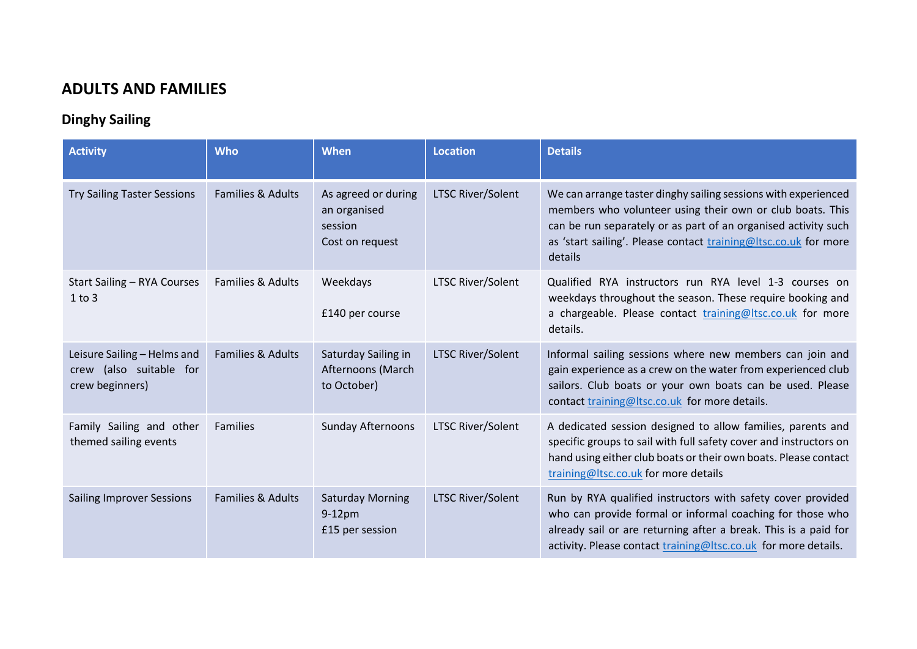#### **ADULTS AND FAMILIES**

## **Dinghy Sailing**

| <b>Activity</b>                                                           | <b>Who</b>                   | When                                                              | <b>Location</b>          | <b>Details</b>                                                                                                                                                                                                                                                              |
|---------------------------------------------------------------------------|------------------------------|-------------------------------------------------------------------|--------------------------|-----------------------------------------------------------------------------------------------------------------------------------------------------------------------------------------------------------------------------------------------------------------------------|
| <b>Try Sailing Taster Sessions</b>                                        | Families & Adults            | As agreed or during<br>an organised<br>session<br>Cost on request | <b>LTSC River/Solent</b> | We can arrange taster dinghy sailing sessions with experienced<br>members who volunteer using their own or club boats. This<br>can be run separately or as part of an organised activity such<br>as 'start sailing'. Please contact training@ltsc.co.uk for more<br>details |
| Start Sailing - RYA Courses<br>$1$ to $3$                                 | <b>Families &amp; Adults</b> | Weekdays<br>£140 per course                                       | <b>LTSC River/Solent</b> | Qualified RYA instructors run RYA level 1-3 courses on<br>weekdays throughout the season. These require booking and<br>a chargeable. Please contact training@ltsc.co.uk for more<br>details.                                                                                |
| Leisure Sailing - Helms and<br>crew (also suitable for<br>crew beginners) | Families & Adults            | Saturday Sailing in<br>Afternoons (March<br>to October)           | <b>LTSC River/Solent</b> | Informal sailing sessions where new members can join and<br>gain experience as a crew on the water from experienced club<br>sailors. Club boats or your own boats can be used. Please<br>contact training@ltsc.co.uk for more details.                                      |
| Family Sailing and other<br>themed sailing events                         | <b>Families</b>              | Sunday Afternoons                                                 | <b>LTSC River/Solent</b> | A dedicated session designed to allow families, parents and<br>specific groups to sail with full safety cover and instructors on<br>hand using either club boats or their own boats. Please contact<br>training@ltsc.co.uk for more details                                 |
| <b>Sailing Improver Sessions</b>                                          | Families & Adults            | <b>Saturday Morning</b><br>$9-12$ pm<br>£15 per session           | <b>LTSC River/Solent</b> | Run by RYA qualified instructors with safety cover provided<br>who can provide formal or informal coaching for those who<br>already sail or are returning after a break. This is a paid for<br>activity. Please contact training@ltsc.co.uk for more details.               |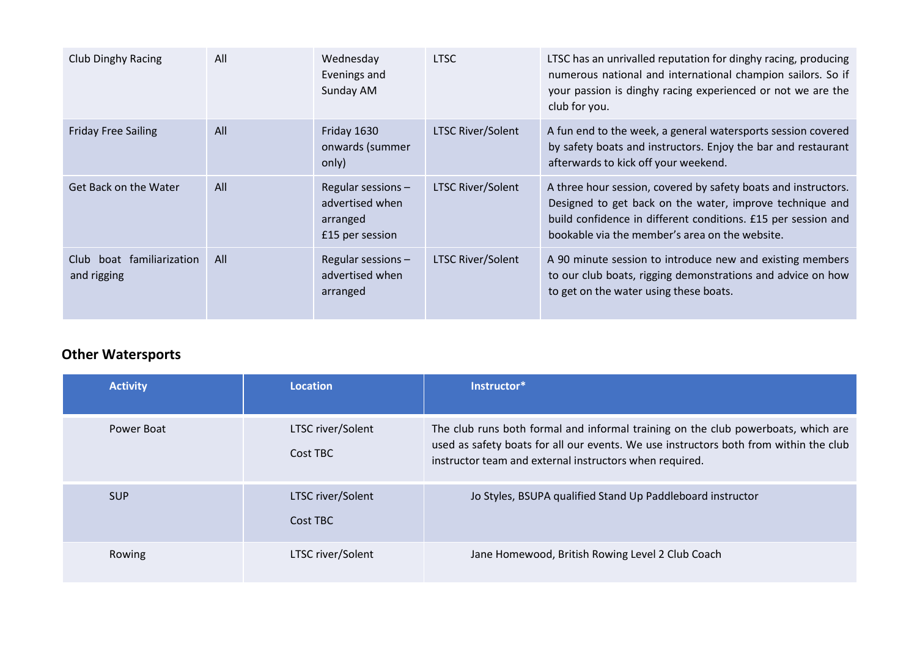| <b>Club Dinghy Racing</b>                | All | Wednesday<br>Evenings and<br>Sunday AM                              | <b>LTSC</b>              | LTSC has an unrivalled reputation for dinghy racing, producing<br>numerous national and international champion sailors. So if<br>your passion is dinghy racing experienced or not we are the<br>club for you.                                 |
|------------------------------------------|-----|---------------------------------------------------------------------|--------------------------|-----------------------------------------------------------------------------------------------------------------------------------------------------------------------------------------------------------------------------------------------|
| <b>Friday Free Sailing</b>               | All | Friday 1630<br>onwards (summer<br>only)                             | <b>LTSC River/Solent</b> | A fun end to the week, a general watersports session covered<br>by safety boats and instructors. Enjoy the bar and restaurant<br>afterwards to kick off your weekend.                                                                         |
| Get Back on the Water                    | All | Regular sessions-<br>advertised when<br>arranged<br>£15 per session | <b>LTSC River/Solent</b> | A three hour session, covered by safety boats and instructors.<br>Designed to get back on the water, improve technique and<br>build confidence in different conditions. £15 per session and<br>bookable via the member's area on the website. |
| Club boat familiarization<br>and rigging | All | Regular sessions-<br>advertised when<br>arranged                    | <b>LTSC River/Solent</b> | A 90 minute session to introduce new and existing members<br>to our club boats, rigging demonstrations and advice on how<br>to get on the water using these boats.                                                                            |

## **Other Watersports**

| <b>Activity</b> | Location                      | Instructor*                                                                                                                                                                                                                           |
|-----------------|-------------------------------|---------------------------------------------------------------------------------------------------------------------------------------------------------------------------------------------------------------------------------------|
| Power Boat      | LTSC river/Solent<br>Cost TBC | The club runs both formal and informal training on the club powerboats, which are<br>used as safety boats for all our events. We use instructors both from within the club<br>instructor team and external instructors when required. |
| <b>SUP</b>      | LTSC river/Solent<br>Cost TBC | Jo Styles, BSUPA qualified Stand Up Paddleboard instructor                                                                                                                                                                            |
| Rowing          | LTSC river/Solent             | Jane Homewood, British Rowing Level 2 Club Coach                                                                                                                                                                                      |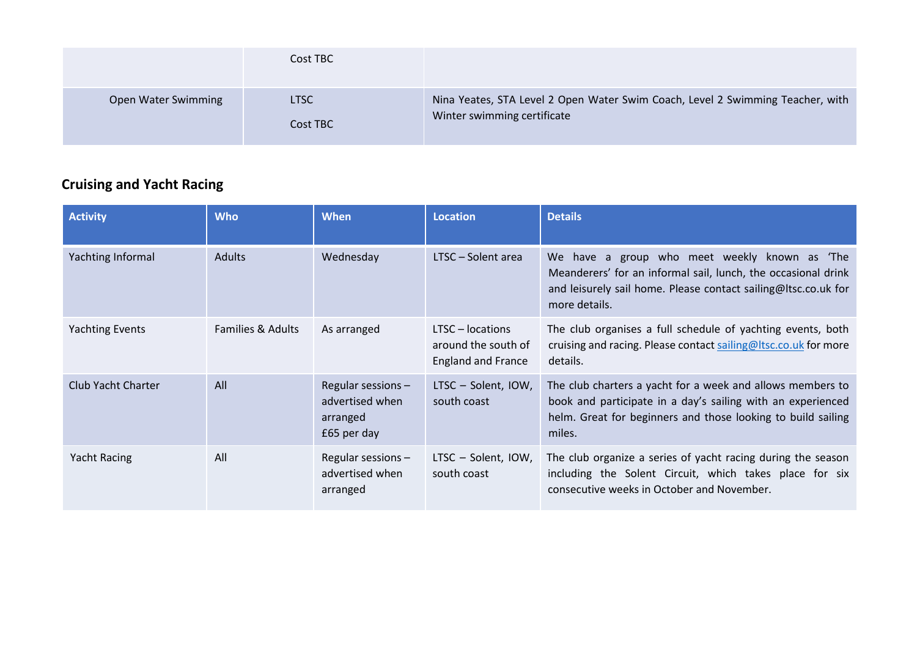|                     | Cost TBC                |                                                                                                               |
|---------------------|-------------------------|---------------------------------------------------------------------------------------------------------------|
| Open Water Swimming | <b>LTSC</b><br>Cost TBC | Nina Yeates, STA Level 2 Open Water Swim Coach, Level 2 Swimming Teacher, with<br>Winter swimming certificate |

# **Cruising and Yacht Racing**

| <b>Activity</b>        | <b>Who</b>                   | <b>When</b>                                                      | <b>Location</b>                                                      | <b>Details</b>                                                                                                                                                                                         |
|------------------------|------------------------------|------------------------------------------------------------------|----------------------------------------------------------------------|--------------------------------------------------------------------------------------------------------------------------------------------------------------------------------------------------------|
| Yachting Informal      | Adults                       | Wednesday                                                        | LTSC - Solent area                                                   | have a group who meet weekly known as 'The<br>We l<br>Meanderers' for an informal sail, lunch, the occasional drink<br>and leisurely sail home. Please contact sailing@Itsc.co.uk for<br>more details. |
| <b>Yachting Events</b> | <b>Families &amp; Adults</b> | As arranged                                                      | LTSC - locations<br>around the south of<br><b>England and France</b> | The club organises a full schedule of yachting events, both<br>cruising and racing. Please contact sailing@ltsc.co.uk for more<br>details.                                                             |
| Club Yacht Charter     | All                          | Regular sessions -<br>advertised when<br>arranged<br>£65 per day | LTSC - Solent, IOW,<br>south coast                                   | The club charters a yacht for a week and allows members to<br>book and participate in a day's sailing with an experienced<br>helm. Great for beginners and those looking to build sailing<br>miles.    |
| <b>Yacht Racing</b>    | All                          | Regular sessions -<br>advertised when<br>arranged                | LTSC - Solent, IOW,<br>south coast                                   | The club organize a series of yacht racing during the season<br>including the Solent Circuit, which takes place for six<br>consecutive weeks in October and November.                                  |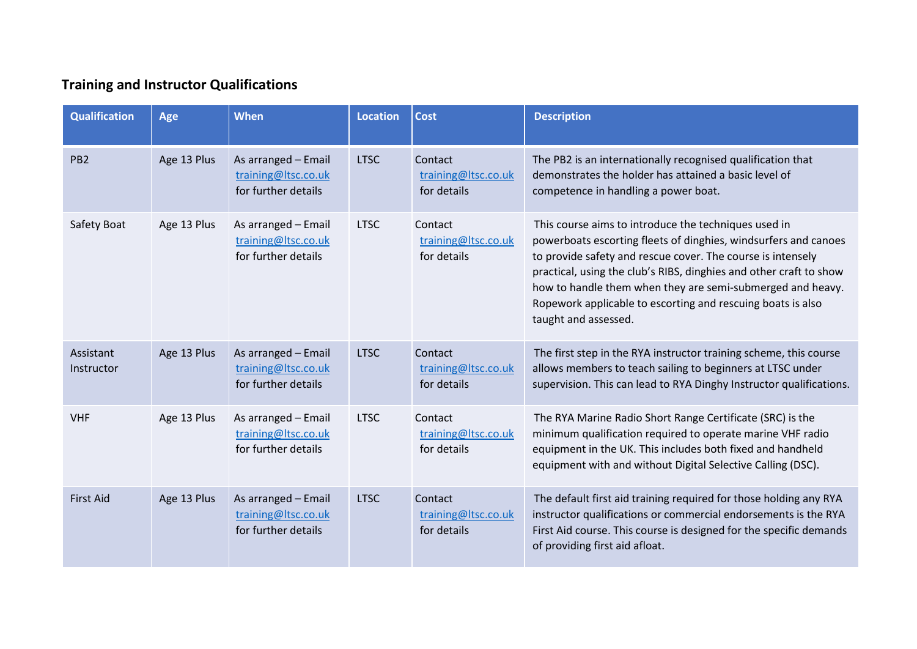# **Training and Instructor Qualifications**

| <b>Qualification</b>    | Age         | When                                                              | <b>Location</b> | <b>Cost</b>                                   | <b>Description</b>                                                                                                                                                                                                                                                                                                                                                                                                |
|-------------------------|-------------|-------------------------------------------------------------------|-----------------|-----------------------------------------------|-------------------------------------------------------------------------------------------------------------------------------------------------------------------------------------------------------------------------------------------------------------------------------------------------------------------------------------------------------------------------------------------------------------------|
| PB <sub>2</sub>         | Age 13 Plus | As arranged - Email<br>training@ltsc.co.uk<br>for further details | <b>LTSC</b>     | Contact<br>training@ltsc.co.uk<br>for details | The PB2 is an internationally recognised qualification that<br>demonstrates the holder has attained a basic level of<br>competence in handling a power boat.                                                                                                                                                                                                                                                      |
| Safety Boat             | Age 13 Plus | As arranged - Email<br>training@ltsc.co.uk<br>for further details | <b>LTSC</b>     | Contact<br>training@ltsc.co.uk<br>for details | This course aims to introduce the techniques used in<br>powerboats escorting fleets of dinghies, windsurfers and canoes<br>to provide safety and rescue cover. The course is intensely<br>practical, using the club's RIBS, dinghies and other craft to show<br>how to handle them when they are semi-submerged and heavy.<br>Ropework applicable to escorting and rescuing boats is also<br>taught and assessed. |
| Assistant<br>Instructor | Age 13 Plus | As arranged - Email<br>training@ltsc.co.uk<br>for further details | <b>LTSC</b>     | Contact<br>training@ltsc.co.uk<br>for details | The first step in the RYA instructor training scheme, this course<br>allows members to teach sailing to beginners at LTSC under<br>supervision. This can lead to RYA Dinghy Instructor qualifications.                                                                                                                                                                                                            |
| <b>VHF</b>              | Age 13 Plus | As arranged - Email<br>training@ltsc.co.uk<br>for further details | <b>LTSC</b>     | Contact<br>training@ltsc.co.uk<br>for details | The RYA Marine Radio Short Range Certificate (SRC) is the<br>minimum qualification required to operate marine VHF radio<br>equipment in the UK. This includes both fixed and handheld<br>equipment with and without Digital Selective Calling (DSC).                                                                                                                                                              |
| <b>First Aid</b>        | Age 13 Plus | As arranged - Email<br>training@ltsc.co.uk<br>for further details | <b>LTSC</b>     | Contact<br>training@ltsc.co.uk<br>for details | The default first aid training required for those holding any RYA<br>instructor qualifications or commercial endorsements is the RYA<br>First Aid course. This course is designed for the specific demands<br>of providing first aid afloat.                                                                                                                                                                      |